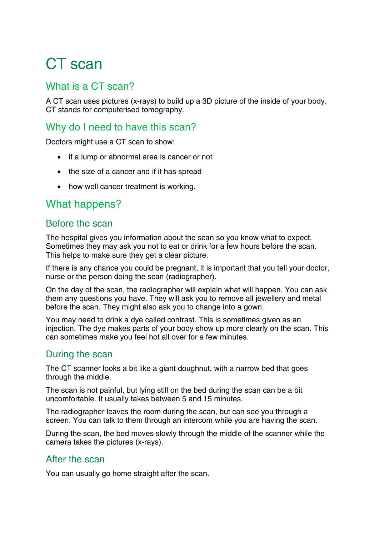# CT scan

## What is a CT scan?

A CT scan uses pictures (x-rays) to build up a 3D picture of the inside of your body. CT stands for computerised tomography.

## Why do I need to have this scan?

Doctors might use a CT scan to show:

- if a lump or abnormal area is cancer or not
- the size of a cancer and if it has spread
- how well cancer treatment is working.

# What happens?

#### Before the scan

The hospital gives you information about the scan so you know what to expect. Sometimes they may ask you not to eat or drink for a few hours before the scan. This helps to make sure they get a clear picture.

If there is any chance you could be pregnant, it is important that you tell your doctor, nurse or the person doing the scan (radiographer).

On the day of the scan, the radiographer will explain what will happen. You can ask them any questions you have. They will ask you to remove all jewellery and metal before the scan. They might also ask you to change into a gown.

You may need to drink a dye called contrast. This is sometimes given as an injection. The dye makes parts of your body show up more clearly on the scan. This can sometimes make you feel hot all over for a few minutes.

## During the scan

The CT scanner looks a bit like a giant doughnut, with a narrow bed that goes through the middle.

The scan is not painful, but lying still on the bed during the scan can be a bit uncomfortable. It usually takes between 5 and 15 minutes.

The radiographer leaves the room during the scan, but can see you through a screen. You can talk to them through an intercom while you are having the scan.

During the scan, the bed moves slowly through the middle of the scanner while the camera takes the pictures (x-rays).

## After the scan

You can usually go home straight after the scan.